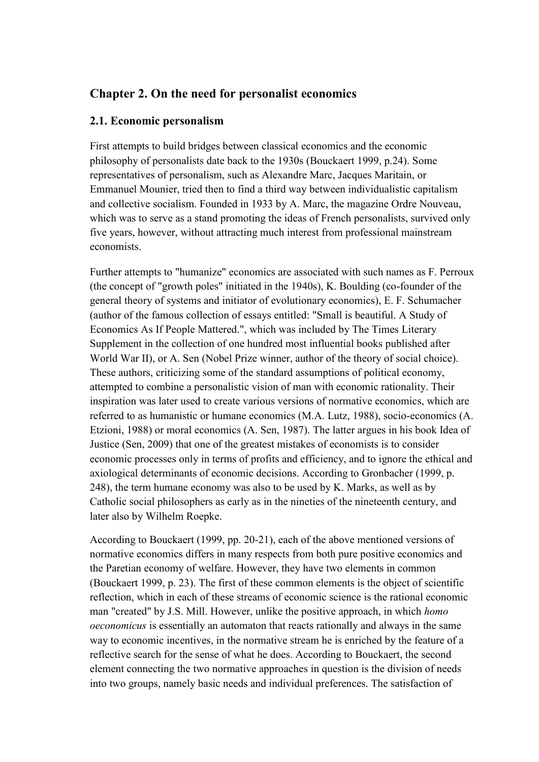# **Chapter 2. On the need for personalist economics**

#### **2.1. Economic personalism**

First attempts to build bridges between classical economics and the economic philosophy of personalists date back to the 1930s (Bouckaert 1999, p.24). Some representatives of personalism, such as Alexandre Marc, Jacques Maritain, or Emmanuel Mounier, tried then to find a third way between individualistic capitalism and collective socialism. Founded in 1933 by A. Marc, the magazine Ordre Nouveau, which was to serve as a stand promoting the ideas of French personalists, survived only five years, however, without attracting much interest from professional mainstream economists.

Further attempts to "humanize" economics are associated with such names as F. Perroux (the concept of "growth poles" initiated in the 1940s), K. Boulding (co-founder of the general theory of systems and initiator of evolutionary economics), E. F. Schumacher (author of the famous collection of essays entitled: "Small is beautiful. A Study of Economics As If People Mattered.", which was included by The Times Literary Supplement in the collection of one hundred most influential books published after World War II), or A. Sen (Nobel Prize winner, author of the theory of social choice). These authors, criticizing some of the standard assumptions of political economy, attempted to combine a personalistic vision of man with economic rationality. Their inspiration was later used to create various versions of normative economics, which are referred to as humanistic or humane economics (M.A. Lutz, 1988), socio-economics (A. Etzioni, 1988) or moral economics (A. Sen, 1987). The latter argues in his book Idea of Justice (Sen, 2009) that one of the greatest mistakes of economists is to consider economic processes only in terms of profits and efficiency, and to ignore the ethical and axiological determinants of economic decisions. According to Gronbacher (1999, p. 248), the term humane economy was also to be used by K. Marks, as well as by Catholic social philosophers as early as in the nineties of the nineteenth century, and later also by Wilhelm Roepke.

According to Bouckaert (1999, pp. 20-21), each of the above mentioned versions of normative economics differs in many respects from both pure positive economics and the Paretian economy of welfare. However, they have two elements in common (Bouckaert 1999, p. 23). The first of these common elements is the object of scientific reflection, which in each of these streams of economic science is the rational economic man "created" by J.S. Mill. However, unlike the positive approach, in which *homo oeconomicus* is essentially an automaton that reacts rationally and always in the same way to economic incentives, in the normative stream he is enriched by the feature of a reflective search for the sense of what he does. According to Bouckaert, the second element connecting the two normative approaches in question is the division of needs into two groups, namely basic needs and individual preferences. The satisfaction of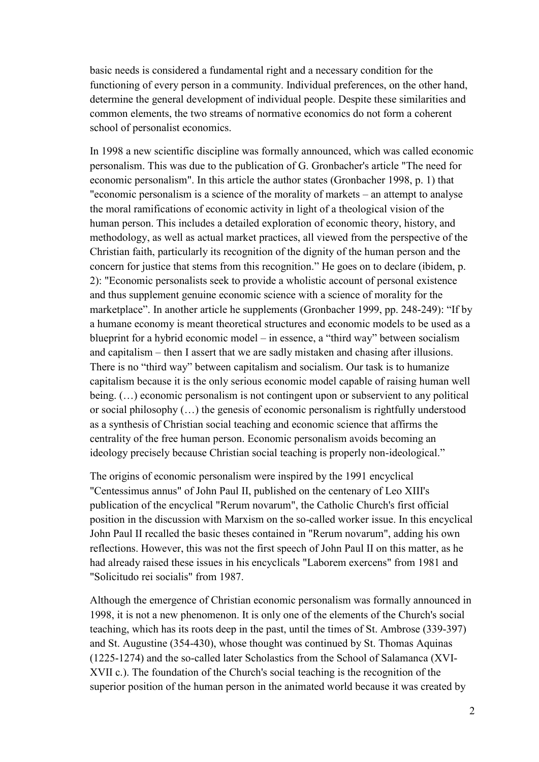basic needs is considered a fundamental right and a necessary condition for the functioning of every person in a community. Individual preferences, on the other hand, determine the general development of individual people. Despite these similarities and common elements, the two streams of normative economics do not form a coherent school of personalist economics.

In 1998 a new scientific discipline was formally announced, which was called economic personalism. This was due to the publication of G. Gronbacher's article "The need for economic personalism". In this article the author states (Gronbacher 1998, p. 1) that "economic personalism is a science of the morality of markets – an attempt to analyse the moral ramifications of economic activity in light of a theological vision of the human person. This includes a detailed exploration of economic theory, history, and methodology, as well as actual market practices, all viewed from the perspective of the Christian faith, particularly its recognition of the dignity of the human person and the concern for justice that stems from this recognition." He goes on to declare (ibidem, p. 2): "Economic personalists seek to provide a wholistic account of personal existence and thus supplement genuine economic science with a science of morality for the marketplace". In another article he supplements (Gronbacher 1999, pp. 248-249): "If by a humane economy is meant theoretical structures and economic models to be used as a blueprint for a hybrid economic model – in essence, a "third way" between socialism and capitalism – then I assert that we are sadly mistaken and chasing after illusions. There is no "third way" between capitalism and socialism. Our task is to humanize capitalism because it is the only serious economic model capable of raising human well being.  $(...)$  economic personalism is not contingent upon or subservient to any political or social philosophy (…) the genesis of economic personalism is rightfully understood as a synthesis of Christian social teaching and economic science that affirms the centrality of the free human person. Economic personalism avoids becoming an ideology precisely because Christian social teaching is properly non-ideological."

The origins of economic personalism were inspired by the 1991 encyclical "Centessimus annus" of John Paul II, published on the centenary of Leo XIII's publication of the encyclical "Rerum novarum", the Catholic Church's first official position in the discussion with Marxism on the so-called worker issue. In this encyclical John Paul II recalled the basic theses contained in "Rerum novarum", adding his own reflections. However, this was not the first speech of John Paul II on this matter, as he had already raised these issues in his encyclicals "Laborem exercens" from 1981 and "Solicitudo rei socialis" from 1987.

Although the emergence of Christian economic personalism was formally announced in 1998, it is not a new phenomenon. It is only one of the elements of the Church's social teaching, which has its roots deep in the past, until the times of St. Ambrose (339-397) and St. Augustine (354-430), whose thought was continued by St. Thomas Aquinas (1225-1274) and the so-called later Scholastics from the School of Salamanca (XVI-XVII c.). The foundation of the Church's social teaching is the recognition of the superior position of the human person in the animated world because it was created by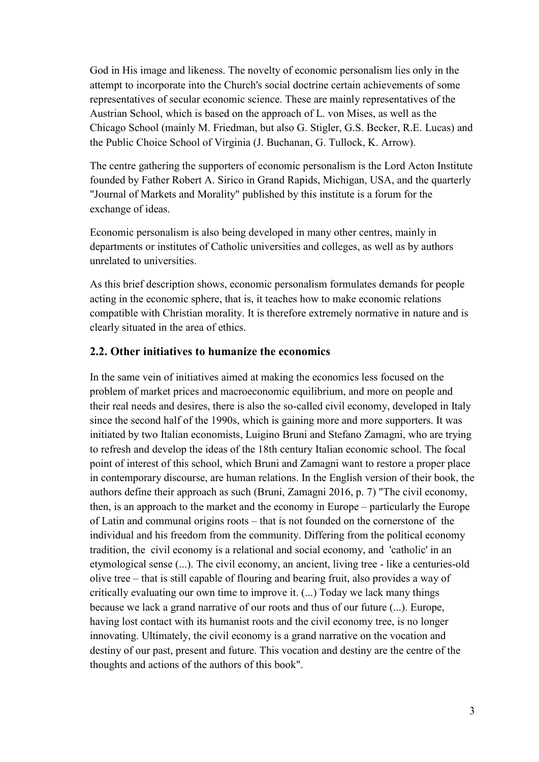God in His image and likeness. The novelty of economic personalism lies only in the attempt to incorporate into the Church's social doctrine certain achievements of some representatives of secular economic science. These are mainly representatives of the Austrian School, which is based on the approach of L. von Mises, as well as the Chicago School (mainly M. Friedman, but also G. Stigler, G.S. Becker, R.E. Lucas) and the Public Choice School of Virginia (J. Buchanan, G. Tullock, K. Arrow).

The centre gathering the supporters of economic personalism is the Lord Acton Institute founded by Father Robert A. Sirico in Grand Rapids, Michigan, USA, and the quarterly "Journal of Markets and Morality" published by this institute is a forum for the exchange of ideas.

Economic personalism is also being developed in many other centres, mainly in departments or institutes of Catholic universities and colleges, as well as by authors unrelated to universities.

As this brief description shows, economic personalism formulates demands for people acting in the economic sphere, that is, it teaches how to make economic relations compatible with Christian morality. It is therefore extremely normative in nature and is clearly situated in the area of ethics.

### **2.2. Other initiatives to humanize the economics**

In the same vein of initiatives aimed at making the economics less focused on the problem of market prices and macroeconomic equilibrium, and more on people and their real needs and desires, there is also the so-called civil economy, developed in Italy since the second half of the 1990s, which is gaining more and more supporters. It was initiated by two Italian economists, Luigino Bruni and Stefano Zamagni, who are trying to refresh and develop the ideas of the 18th century Italian economic school. The focal point of interest of this school, which Bruni and Zamagni want to restore a proper place in contemporary discourse, are human relations. In the English version of their book, the authors define their approach as such (Bruni, Zamagni 2016, p. 7) "The civil economy, then, is an approach to the market and the economy in Europe – particularly the Europe of Latin and communal origins roots – that is not founded on the cornerstone of the individual and his freedom from the community. Differing from the political economy tradition, the civil economy is a relational and social economy, and 'catholic' in an etymological sense (...). The civil economy, an ancient, living tree - like a centuries-old olive tree – that is still capable of flouring and bearing fruit, also provides a way of critically evaluating our own time to improve it. (...) Today we lack many things because we lack a grand narrative of our roots and thus of our future (...). Europe, having lost contact with its humanist roots and the civil economy tree, is no longer innovating. Ultimately, the civil economy is a grand narrative on the vocation and destiny of our past, present and future. This vocation and destiny are the centre of the thoughts and actions of the authors of this book".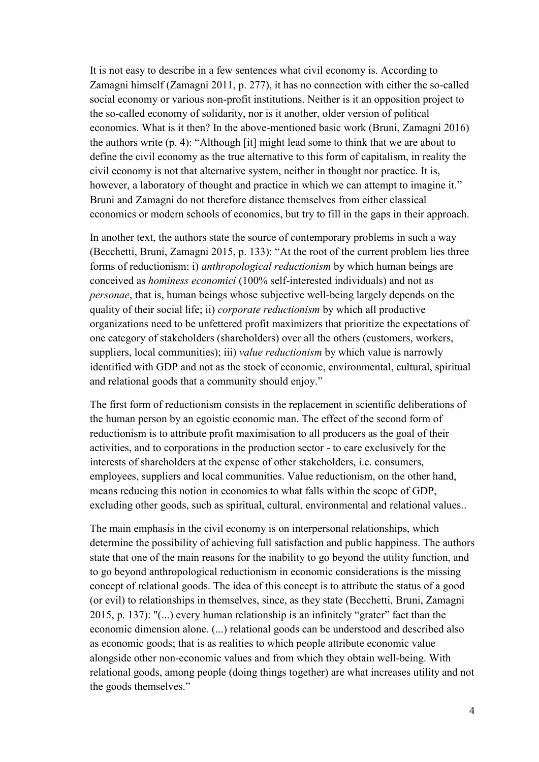It is not easy to describe in a few sentences what civil economy is. According to Zamagni himself (Zamagni 2011, p. 277), it has no connection with either the so-called social economy or various non-profit institutions. Neither is it an opposition project to the so-called economy of solidarity, nor is it another, older version of political economics. What is it then? In the above-mentioned basic work (Bruni, Zamagni 2016) the authors write (p. 4): "Although [it] might lead some to think that we are about to define the civil economy as the true alternative to this form of capitalism, in reality the civil economy is not that alternative system, neither in thought nor practice. It is, however, a laboratory of thought and practice in which we can attempt to imagine it." Bruni and Zamagni do not therefore distance themselves from either classical economics or modern schools of economics, but try to fill in the gaps in their approach.

In another text, the authors state the source of contemporary problems in such a way (Becchetti, Bruni, Zamagni 2015, p. 133): "At the root of the current problem lies three forms of reductionism: i) *anthropological reductionism* by which human beings are conceived as *hominess economici* (100% self-interested individuals) and not as *personae*, that is, human beings whose subjective well-being largely depends on the quality of their social life; ii) *corporate reductionism* by which all productive organizations need to be unfettered profit maximizers that prioritize the expectations of one category of stakeholders (shareholders) over all the others (customers, workers, suppliers, local communities); iii) *value reductionism* by which value is narrowly identified with GDP and not as the stock of economic, environmental, cultural, spiritual and relational goods that a community should enjoy."

The first form of reductionism consists in the replacement in scientific deliberations of the human person by an egoistic economic man. The effect of the second form of reductionism is to attribute profit maximisation to all producers as the goal of their activities, and to corporations in the production sector - to care exclusively for the interests of shareholders at the expense of other stakeholders, i.e. consumers, employees, suppliers and local communities. Value reductionism, on the other hand, means reducing this notion in economics to what falls within the scope of GDP, excluding other goods, such as spiritual, cultural, environmental and relational values..

The main emphasis in the civil economy is on interpersonal relationships, which determine the possibility of achieving full satisfaction and public happiness. The authors state that one of the main reasons for the inability to go beyond the utility function, and to go beyond anthropological reductionism in economic considerations is the missing concept of relational goods. The idea of this concept is to attribute the status of a good (or evil) to relationships in themselves, since, as they state (Becchetti, Bruni, Zamagni 2015, p. 137): "(...) every human relationship is an infinitely "grater" fact than the economic dimension alone. (...) relational goods can be understood and described also as economic goods; that is as realities to which people attribute economic value alongside other non-economic values and from which they obtain well-being. With relational goods, among people (doing things together) are what increases utility and not the goods themselves."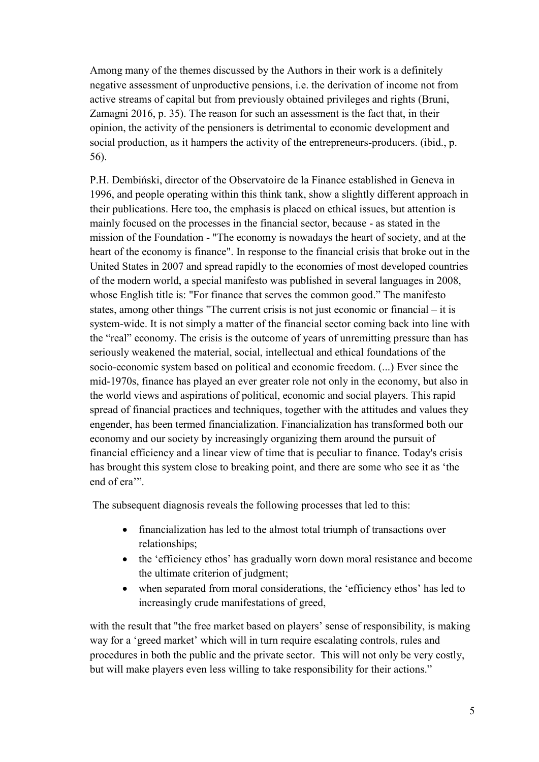Among many of the themes discussed by the Authors in their work is a definitely negative assessment of unproductive pensions, i.e. the derivation of income not from active streams of capital but from previously obtained privileges and rights (Bruni, Zamagni 2016, p. 35). The reason for such an assessment is the fact that, in their opinion, the activity of the pensioners is detrimental to economic development and social production, as it hampers the activity of the entrepreneurs-producers. (ibid., p. 56).

P.H. Dembiński, director of the Observatoire de la Finance established in Geneva in 1996, and people operating within this think tank, show a slightly different approach in their publications. Here too, the emphasis is placed on ethical issues, but attention is mainly focused on the processes in the financial sector, because - as stated in the mission of the Foundation - "The economy is nowadays the heart of society, and at the heart of the economy is finance". In response to the financial crisis that broke out in the United States in 2007 and spread rapidly to the economies of most developed countries of the modern world, a special manifesto was published in several languages in 2008, whose English title is: "For finance that serves the common good." The manifesto states, among other things "The current crisis is not just economic or financial – it is system-wide. It is not simply a matter of the financial sector coming back into line with the "real" economy. The crisis is the outcome of years of unremitting pressure than has seriously weakened the material, social, intellectual and ethical foundations of the socio-economic system based on political and economic freedom. (...) Ever since the mid-1970s, finance has played an ever greater role not only in the economy, but also in the world views and aspirations of political, economic and social players. This rapid spread of financial practices and techniques, together with the attitudes and values they engender, has been termed financialization. Financialization has transformed both our economy and our society by increasingly organizing them around the pursuit of financial efficiency and a linear view of time that is peculiar to finance. Today's crisis has brought this system close to breaking point, and there are some who see it as 'the end of era<sup>"</sup>.

The subsequent diagnosis reveals the following processes that led to this:

- financialization has led to the almost total triumph of transactions over relationships;
- the 'efficiency ethos' has gradually worn down moral resistance and become the ultimate criterion of judgment;
- when separated from moral considerations, the 'efficiency ethos' has led to increasingly crude manifestations of greed,

with the result that "the free market based on players' sense of responsibility, is making way for a 'greed market' which will in turn require escalating controls, rules and procedures in both the public and the private sector. This will not only be very costly, but will make players even less willing to take responsibility for their actions."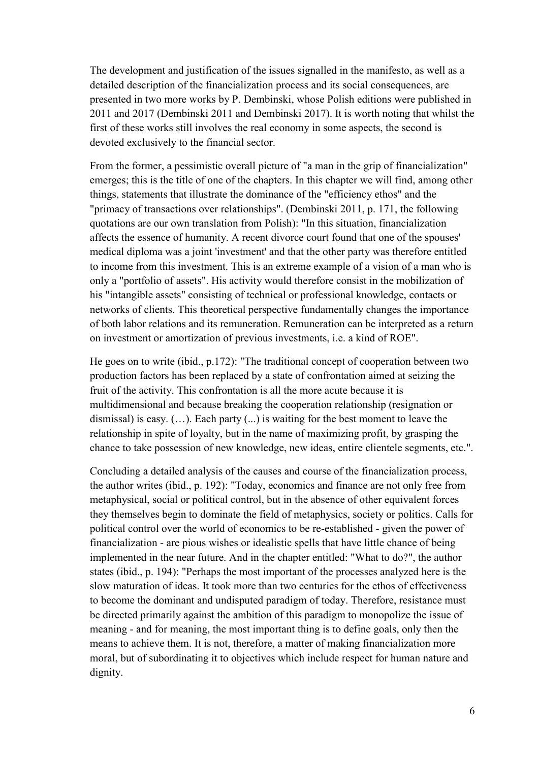The development and justification of the issues signalled in the manifesto, as well as a detailed description of the financialization process and its social consequences, are presented in two more works by P. Dembinski, whose Polish editions were published in 2011 and 2017 (Dembinski 2011 and Dembinski 2017). It is worth noting that whilst the first of these works still involves the real economy in some aspects, the second is devoted exclusively to the financial sector.

From the former, a pessimistic overall picture of "a man in the grip of financialization" emerges; this is the title of one of the chapters. In this chapter we will find, among other things, statements that illustrate the dominance of the "efficiency ethos" and the "primacy of transactions over relationships". (Dembinski 2011, p. 171, the following quotations are our own translation from Polish): "In this situation, financialization affects the essence of humanity. A recent divorce court found that one of the spouses' medical diploma was a joint 'investment' and that the other party was therefore entitled to income from this investment. This is an extreme example of a vision of a man who is only a "portfolio of assets". His activity would therefore consist in the mobilization of his "intangible assets" consisting of technical or professional knowledge, contacts or networks of clients. This theoretical perspective fundamentally changes the importance of both labor relations and its remuneration. Remuneration can be interpreted as a return on investment or amortization of previous investments, i.e. a kind of ROE".

He goes on to write (ibid., p.172): "The traditional concept of cooperation between two production factors has been replaced by a state of confrontation aimed at seizing the fruit of the activity. This confrontation is all the more acute because it is multidimensional and because breaking the cooperation relationship (resignation or dismissal) is easy. (…). Each party (...) is waiting for the best moment to leave the relationship in spite of loyalty, but in the name of maximizing profit, by grasping the chance to take possession of new knowledge, new ideas, entire clientele segments, etc.".

Concluding a detailed analysis of the causes and course of the financialization process, the author writes (ibid., p. 192): "Today, economics and finance are not only free from metaphysical, social or political control, but in the absence of other equivalent forces they themselves begin to dominate the field of metaphysics, society or politics. Calls for political control over the world of economics to be re-established - given the power of financialization - are pious wishes or idealistic spells that have little chance of being implemented in the near future. And in the chapter entitled: "What to do?", the author states (ibid., p. 194): "Perhaps the most important of the processes analyzed here is the slow maturation of ideas. It took more than two centuries for the ethos of effectiveness to become the dominant and undisputed paradigm of today. Therefore, resistance must be directed primarily against the ambition of this paradigm to monopolize the issue of meaning - and for meaning, the most important thing is to define goals, only then the means to achieve them. It is not, therefore, a matter of making financialization more moral, but of subordinating it to objectives which include respect for human nature and dignity.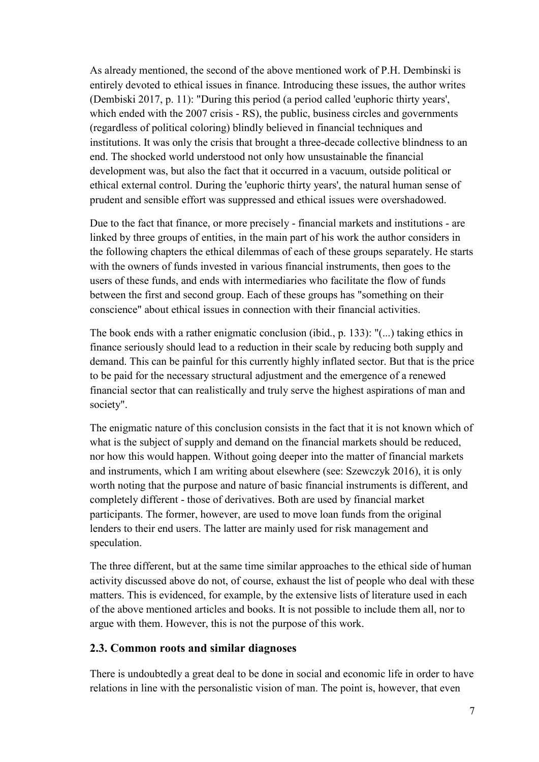As already mentioned, the second of the above mentioned work of P.H. Dembinski is entirely devoted to ethical issues in finance. Introducing these issues, the author writes (Dembiski 2017, p. 11): "During this period (a period called 'euphoric thirty years', which ended with the 2007 crisis - RS), the public, business circles and governments (regardless of political coloring) blindly believed in financial techniques and institutions. It was only the crisis that brought a three-decade collective blindness to an end. The shocked world understood not only how unsustainable the financial development was, but also the fact that it occurred in a vacuum, outside political or ethical external control. During the 'euphoric thirty years', the natural human sense of prudent and sensible effort was suppressed and ethical issues were overshadowed.

Due to the fact that finance, or more precisely - financial markets and institutions - are linked by three groups of entities, in the main part of his work the author considers in the following chapters the ethical dilemmas of each of these groups separately. He starts with the owners of funds invested in various financial instruments, then goes to the users of these funds, and ends with intermediaries who facilitate the flow of funds between the first and second group. Each of these groups has "something on their conscience" about ethical issues in connection with their financial activities.

The book ends with a rather enigmatic conclusion (ibid., p. 133): "(...) taking ethics in finance seriously should lead to a reduction in their scale by reducing both supply and demand. This can be painful for this currently highly inflated sector. But that is the price to be paid for the necessary structural adjustment and the emergence of a renewed financial sector that can realistically and truly serve the highest aspirations of man and society".

The enigmatic nature of this conclusion consists in the fact that it is not known which of what is the subject of supply and demand on the financial markets should be reduced, nor how this would happen. Without going deeper into the matter of financial markets and instruments, which I am writing about elsewhere (see: Szewczyk 2016), it is only worth noting that the purpose and nature of basic financial instruments is different, and completely different - those of derivatives. Both are used by financial market participants. The former, however, are used to move loan funds from the original lenders to their end users. The latter are mainly used for risk management and speculation.

The three different, but at the same time similar approaches to the ethical side of human activity discussed above do not, of course, exhaust the list of people who deal with these matters. This is evidenced, for example, by the extensive lists of literature used in each of the above mentioned articles and books. It is not possible to include them all, nor to argue with them. However, this is not the purpose of this work.

### **2.3. Common roots and similar diagnoses**

There is undoubtedly a great deal to be done in social and economic life in order to have relations in line with the personalistic vision of man. The point is, however, that even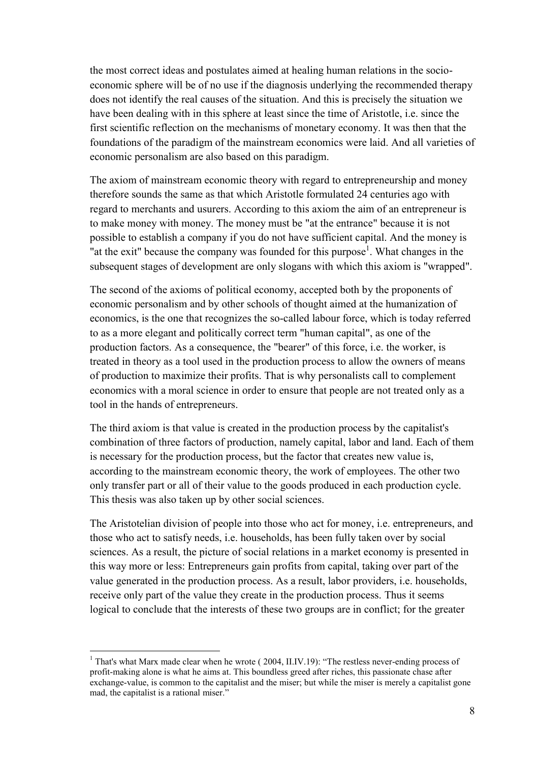the most correct ideas and postulates aimed at healing human relations in the socioeconomic sphere will be of no use if the diagnosis underlying the recommended therapy does not identify the real causes of the situation. And this is precisely the situation we have been dealing with in this sphere at least since the time of Aristotle, i.e. since the first scientific reflection on the mechanisms of monetary economy. It was then that the foundations of the paradigm of the mainstream economics were laid. And all varieties of economic personalism are also based on this paradigm.

The axiom of mainstream economic theory with regard to entrepreneurship and money therefore sounds the same as that which Aristotle formulated 24 centuries ago with regard to merchants and usurers. According to this axiom the aim of an entrepreneur is to make money with money. The money must be "at the entrance" because it is not possible to establish a company if you do not have sufficient capital. And the money is "at the exit" because the company was founded for this purpose<sup>1</sup>. What changes in the subsequent stages of development are only slogans with which this axiom is "wrapped".

The second of the axioms of political economy, accepted both by the proponents of economic personalism and by other schools of thought aimed at the humanization of economics, is the one that recognizes the so-called labour force, which is today referred to as a more elegant and politically correct term "human capital", as one of the production factors. As a consequence, the "bearer" of this force, i.e. the worker, is treated in theory as a tool used in the production process to allow the owners of means of production to maximize their profits. That is why personalists call to complement economics with a moral science in order to ensure that people are not treated only as a tool in the hands of entrepreneurs.

The third axiom is that value is created in the production process by the capitalist's combination of three factors of production, namely capital, labor and land. Each of them is necessary for the production process, but the factor that creates new value is, according to the mainstream economic theory, the work of employees. The other two only transfer part or all of their value to the goods produced in each production cycle. This thesis was also taken up by other social sciences.

The Aristotelian division of people into those who act for money, i.e. entrepreneurs, and those who act to satisfy needs, i.e. households, has been fully taken over by social sciences. As a result, the picture of social relations in a market economy is presented in this way more or less: Entrepreneurs gain profits from capital, taking over part of the value generated in the production process. As a result, labor providers, i.e. households, receive only part of the value they create in the production process. Thus it seems logical to conclude that the interests of these two groups are in conflict; for the greater

 $\overline{a}$ 

 $1$  That's what Marx made clear when he wrote ( 2004, II.IV.19): "The restless never-ending process of profit-making alone is what he aims at. This boundless greed after riches, this passionate chase after exchange-value, is common to the capitalist and the miser; but while the miser is merely a capitalist gone mad, the capitalist is a rational miser."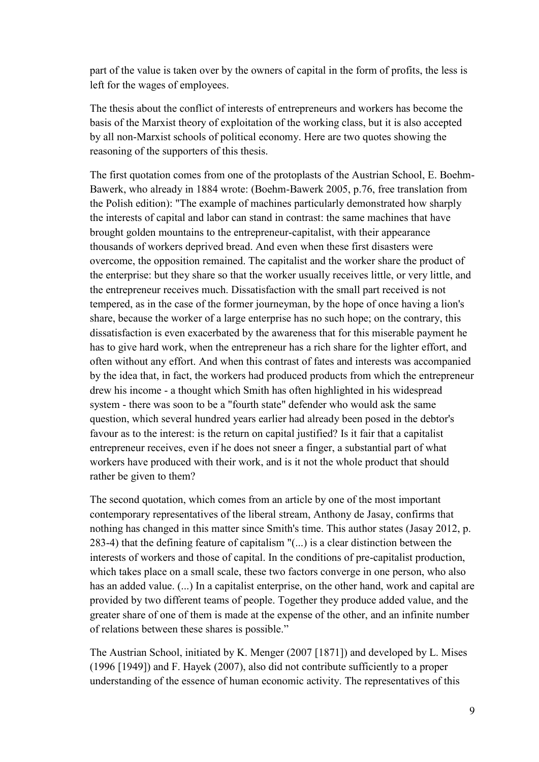part of the value is taken over by the owners of capital in the form of profits, the less is left for the wages of employees.

The thesis about the conflict of interests of entrepreneurs and workers has become the basis of the Marxist theory of exploitation of the working class, but it is also accepted by all non-Marxist schools of political economy. Here are two quotes showing the reasoning of the supporters of this thesis.

The first quotation comes from one of the protoplasts of the Austrian School, E. Boehm-Bawerk, who already in 1884 wrote: (Boehm-Bawerk 2005, p.76, free translation from the Polish edition): "The example of machines particularly demonstrated how sharply the interests of capital and labor can stand in contrast: the same machines that have brought golden mountains to the entrepreneur-capitalist, with their appearance thousands of workers deprived bread. And even when these first disasters were overcome, the opposition remained. The capitalist and the worker share the product of the enterprise: but they share so that the worker usually receives little, or very little, and the entrepreneur receives much. Dissatisfaction with the small part received is not tempered, as in the case of the former journeyman, by the hope of once having a lion's share, because the worker of a large enterprise has no such hope; on the contrary, this dissatisfaction is even exacerbated by the awareness that for this miserable payment he has to give hard work, when the entrepreneur has a rich share for the lighter effort, and often without any effort. And when this contrast of fates and interests was accompanied by the idea that, in fact, the workers had produced products from which the entrepreneur drew his income - a thought which Smith has often highlighted in his widespread system - there was soon to be a "fourth state" defender who would ask the same question, which several hundred years earlier had already been posed in the debtor's favour as to the interest: is the return on capital justified? Is it fair that a capitalist entrepreneur receives, even if he does not sneer a finger, a substantial part of what workers have produced with their work, and is it not the whole product that should rather be given to them?

The second quotation, which comes from an article by one of the most important contemporary representatives of the liberal stream, Anthony de Jasay, confirms that nothing has changed in this matter since Smith's time. This author states (Jasay 2012, p. 283-4) that the defining feature of capitalism "(...) is a clear distinction between the interests of workers and those of capital. In the conditions of pre-capitalist production, which takes place on a small scale, these two factors converge in one person, who also has an added value. (...) In a capitalist enterprise, on the other hand, work and capital are provided by two different teams of people. Together they produce added value, and the greater share of one of them is made at the expense of the other, and an infinite number of relations between these shares is possible."

The Austrian School, initiated by K. Menger (2007 [1871]) and developed by L. Mises (1996 [1949]) and F. Hayek (2007), also did not contribute sufficiently to a proper understanding of the essence of human economic activity. The representatives of this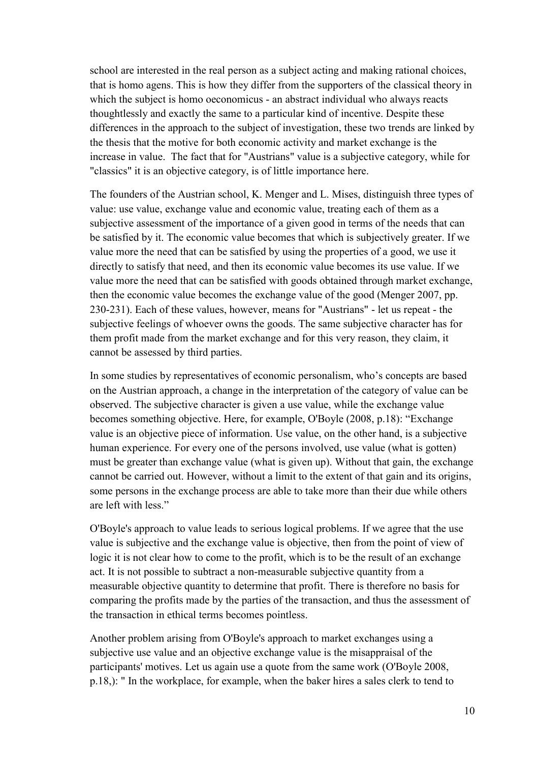school are interested in the real person as a subject acting and making rational choices, that is homo agens. This is how they differ from the supporters of the classical theory in which the subject is homo oeconomicus - an abstract individual who always reacts thoughtlessly and exactly the same to a particular kind of incentive. Despite these differences in the approach to the subject of investigation, these two trends are linked by the thesis that the motive for both economic activity and market exchange is the increase in value. The fact that for "Austrians" value is a subjective category, while for "classics" it is an objective category, is of little importance here.

The founders of the Austrian school, K. Menger and L. Mises, distinguish three types of value: use value, exchange value and economic value, treating each of them as a subjective assessment of the importance of a given good in terms of the needs that can be satisfied by it. The economic value becomes that which is subjectively greater. If we value more the need that can be satisfied by using the properties of a good, we use it directly to satisfy that need, and then its economic value becomes its use value. If we value more the need that can be satisfied with goods obtained through market exchange, then the economic value becomes the exchange value of the good (Menger 2007, pp. 230-231). Each of these values, however, means for "Austrians" - let us repeat - the subjective feelings of whoever owns the goods. The same subjective character has for them profit made from the market exchange and for this very reason, they claim, it cannot be assessed by third parties.

In some studies by representatives of economic personalism, who's concepts are based on the Austrian approach, a change in the interpretation of the category of value can be observed. The subjective character is given a use value, while the exchange value becomes something objective. Here, for example, O'Boyle (2008, p.18): "Exchange value is an objective piece of information. Use value, on the other hand, is a subjective human experience. For every one of the persons involved, use value (what is gotten) must be greater than exchange value (what is given up). Without that gain, the exchange cannot be carried out. However, without a limit to the extent of that gain and its origins, some persons in the exchange process are able to take more than their due while others are left with less."

O'Boyle's approach to value leads to serious logical problems. If we agree that the use value is subjective and the exchange value is objective, then from the point of view of logic it is not clear how to come to the profit, which is to be the result of an exchange act. It is not possible to subtract a non-measurable subjective quantity from a measurable objective quantity to determine that profit. There is therefore no basis for comparing the profits made by the parties of the transaction, and thus the assessment of the transaction in ethical terms becomes pointless.

Another problem arising from O'Boyle's approach to market exchanges using a subjective use value and an objective exchange value is the misappraisal of the participants' motives. Let us again use a quote from the same work (O'Boyle 2008, p.18,): " In the workplace, for example, when the baker hires a sales clerk to tend to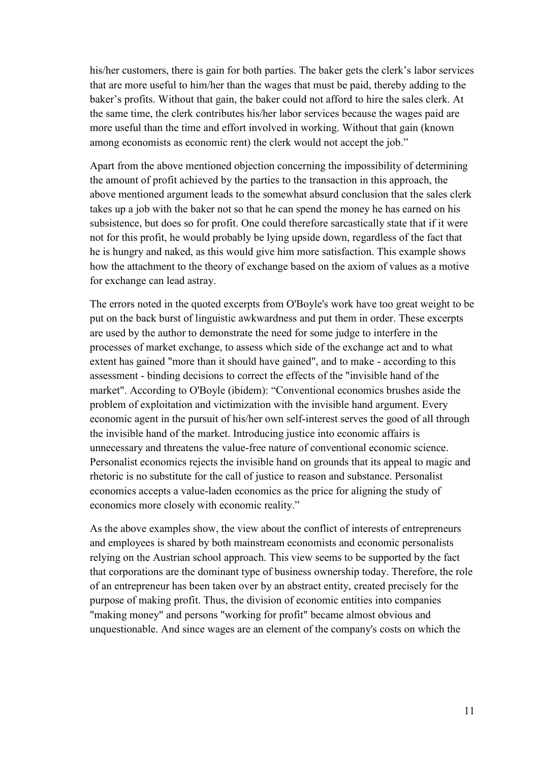his/her customers, there is gain for both parties. The baker gets the clerk's labor services that are more useful to him/her than the wages that must be paid, thereby adding to the baker's profits. Without that gain, the baker could not afford to hire the sales clerk. At the same time, the clerk contributes his/her labor services because the wages paid are more useful than the time and effort involved in working. Without that gain (known among economists as economic rent) the clerk would not accept the job."

Apart from the above mentioned objection concerning the impossibility of determining the amount of profit achieved by the parties to the transaction in this approach, the above mentioned argument leads to the somewhat absurd conclusion that the sales clerk takes up a job with the baker not so that he can spend the money he has earned on his subsistence, but does so for profit. One could therefore sarcastically state that if it were not for this profit, he would probably be lying upside down, regardless of the fact that he is hungry and naked, as this would give him more satisfaction. This example shows how the attachment to the theory of exchange based on the axiom of values as a motive for exchange can lead astray.

The errors noted in the quoted excerpts from O'Boyle's work have too great weight to be put on the back burst of linguistic awkwardness and put them in order. These excerpts are used by the author to demonstrate the need for some judge to interfere in the processes of market exchange, to assess which side of the exchange act and to what extent has gained "more than it should have gained", and to make - according to this assessment - binding decisions to correct the effects of the "invisible hand of the market". According to O'Boyle (ibidem): "Conventional economics brushes aside the problem of exploitation and victimization with the invisible hand argument. Every economic agent in the pursuit of his/her own self-interest serves the good of all through the invisible hand of the market. Introducing justice into economic affairs is unnecessary and threatens the value-free nature of conventional economic science. Personalist economics rejects the invisible hand on grounds that its appeal to magic and rhetoric is no substitute for the call of justice to reason and substance. Personalist economics accepts a value-laden economics as the price for aligning the study of economics more closely with economic reality."

As the above examples show, the view about the conflict of interests of entrepreneurs and employees is shared by both mainstream economists and economic personalists relying on the Austrian school approach. This view seems to be supported by the fact that corporations are the dominant type of business ownership today. Therefore, the role of an entrepreneur has been taken over by an abstract entity, created precisely for the purpose of making profit. Thus, the division of economic entities into companies "making money" and persons "working for profit" became almost obvious and unquestionable. And since wages are an element of the company's costs on which the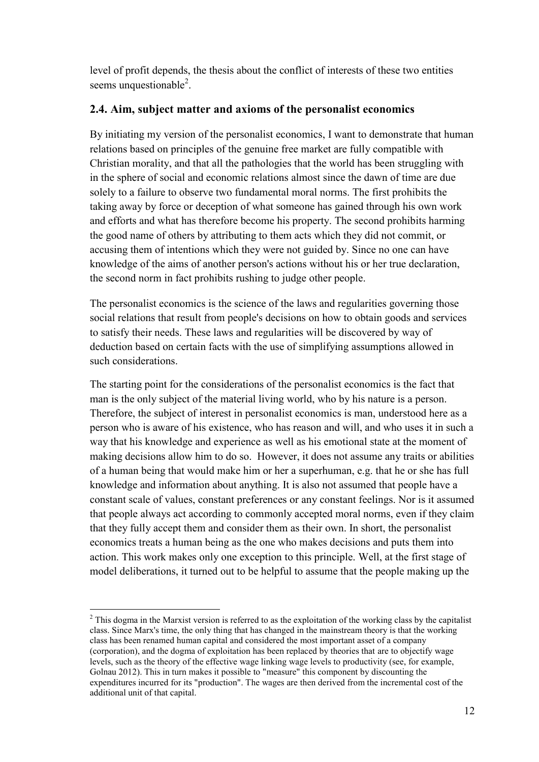level of profit depends, the thesis about the conflict of interests of these two entities seems unquestionable<sup>2</sup>.

## **2.4. Aim, subject matter and axioms of the personalist economics**

By initiating my version of the personalist economics, I want to demonstrate that human relations based on principles of the genuine free market are fully compatible with Christian morality, and that all the pathologies that the world has been struggling with in the sphere of social and economic relations almost since the dawn of time are due solely to a failure to observe two fundamental moral norms. The first prohibits the taking away by force or deception of what someone has gained through his own work and efforts and what has therefore become his property. The second prohibits harming the good name of others by attributing to them acts which they did not commit, or accusing them of intentions which they were not guided by. Since no one can have knowledge of the aims of another person's actions without his or her true declaration, the second norm in fact prohibits rushing to judge other people.

The personalist economics is the science of the laws and regularities governing those social relations that result from people's decisions on how to obtain goods and services to satisfy their needs. These laws and regularities will be discovered by way of deduction based on certain facts with the use of simplifying assumptions allowed in such considerations.

The starting point for the considerations of the personalist economics is the fact that man is the only subject of the material living world, who by his nature is a person. Therefore, the subject of interest in personalist economics is man, understood here as a person who is aware of his existence, who has reason and will, and who uses it in such a way that his knowledge and experience as well as his emotional state at the moment of making decisions allow him to do so. However, it does not assume any traits or abilities of a human being that would make him or her a superhuman, e.g. that he or she has full knowledge and information about anything. It is also not assumed that people have a constant scale of values, constant preferences or any constant feelings. Nor is it assumed that people always act according to commonly accepted moral norms, even if they claim that they fully accept them and consider them as their own. In short, the personalist economics treats a human being as the one who makes decisions and puts them into action. This work makes only one exception to this principle. Well, at the first stage of model deliberations, it turned out to be helpful to assume that the people making up the

 $\overline{a}$  $<sup>2</sup>$  This dogma in the Marxist version is referred to as the exploitation of the working class by the capitalist</sup> class. Since Marx's time, the only thing that has changed in the mainstream theory is that the working class has been renamed human capital and considered the most important asset of a company (corporation), and the dogma of exploitation has been replaced by theories that are to objectify wage levels, such as the theory of the effective wage linking wage levels to productivity (see, for example, Golnau 2012). This in turn makes it possible to "measure" this component by discounting the expenditures incurred for its "production". The wages are then derived from the incremental cost of the additional unit of that capital.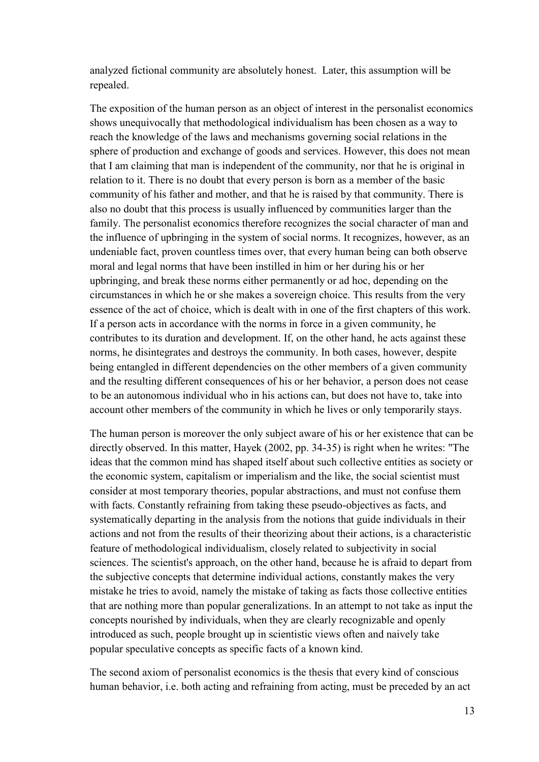analyzed fictional community are absolutely honest. Later, this assumption will be repealed.

The exposition of the human person as an object of interest in the personalist economics shows unequivocally that methodological individualism has been chosen as a way to reach the knowledge of the laws and mechanisms governing social relations in the sphere of production and exchange of goods and services. However, this does not mean that I am claiming that man is independent of the community, nor that he is original in relation to it. There is no doubt that every person is born as a member of the basic community of his father and mother, and that he is raised by that community. There is also no doubt that this process is usually influenced by communities larger than the family. The personalist economics therefore recognizes the social character of man and the influence of upbringing in the system of social norms. It recognizes, however, as an undeniable fact, proven countless times over, that every human being can both observe moral and legal norms that have been instilled in him or her during his or her upbringing, and break these norms either permanently or ad hoc, depending on the circumstances in which he or she makes a sovereign choice. This results from the very essence of the act of choice, which is dealt with in one of the first chapters of this work. If a person acts in accordance with the norms in force in a given community, he contributes to its duration and development. If, on the other hand, he acts against these norms, he disintegrates and destroys the community. In both cases, however, despite being entangled in different dependencies on the other members of a given community and the resulting different consequences of his or her behavior, a person does not cease to be an autonomous individual who in his actions can, but does not have to, take into account other members of the community in which he lives or only temporarily stays.

The human person is moreover the only subject aware of his or her existence that can be directly observed. In this matter, Hayek (2002, pp. 34-35) is right when he writes: "The ideas that the common mind has shaped itself about such collective entities as society or the economic system, capitalism or imperialism and the like, the social scientist must consider at most temporary theories, popular abstractions, and must not confuse them with facts. Constantly refraining from taking these pseudo-objectives as facts, and systematically departing in the analysis from the notions that guide individuals in their actions and not from the results of their theorizing about their actions, is a characteristic feature of methodological individualism, closely related to subjectivity in social sciences. The scientist's approach, on the other hand, because he is afraid to depart from the subjective concepts that determine individual actions, constantly makes the very mistake he tries to avoid, namely the mistake of taking as facts those collective entities that are nothing more than popular generalizations. In an attempt to not take as input the concepts nourished by individuals, when they are clearly recognizable and openly introduced as such, people brought up in scientistic views often and naively take popular speculative concepts as specific facts of a known kind.

The second axiom of personalist economics is the thesis that every kind of conscious human behavior, i.e. both acting and refraining from acting, must be preceded by an act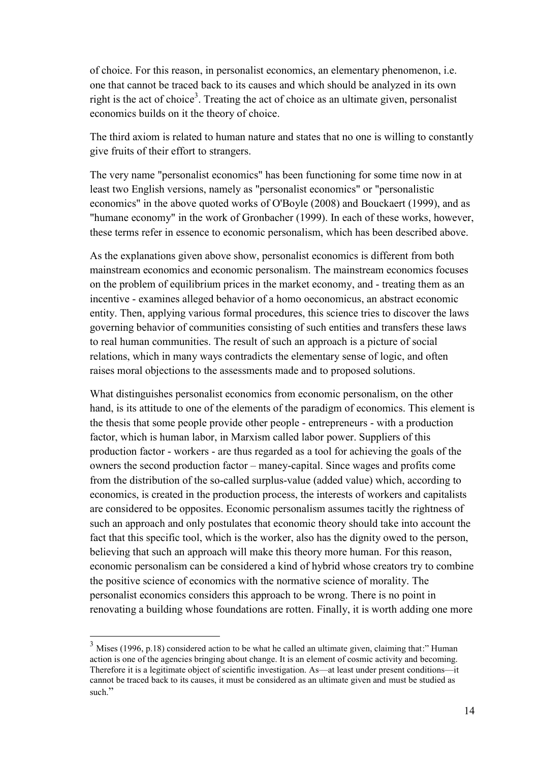of choice. For this reason, in personalist economics, an elementary phenomenon, i.e. one that cannot be traced back to its causes and which should be analyzed in its own right is the act of choice<sup>3</sup>. Treating the act of choice as an ultimate given, personalist economics builds on it the theory of choice.

The third axiom is related to human nature and states that no one is willing to constantly give fruits of their effort to strangers.

The very name "personalist economics" has been functioning for some time now in at least two English versions, namely as "personalist economics" or "personalistic economics" in the above quoted works of O'Boyle (2008) and Bouckaert (1999), and as "humane economy" in the work of Gronbacher (1999). In each of these works, however, these terms refer in essence to economic personalism, which has been described above.

As the explanations given above show, personalist economics is different from both mainstream economics and economic personalism. The mainstream economics focuses on the problem of equilibrium prices in the market economy, and - treating them as an incentive - examines alleged behavior of a homo oeconomicus, an abstract economic entity. Then, applying various formal procedures, this science tries to discover the laws governing behavior of communities consisting of such entities and transfers these laws to real human communities. The result of such an approach is a picture of social relations, which in many ways contradicts the elementary sense of logic, and often raises moral objections to the assessments made and to proposed solutions.

What distinguishes personalist economics from economic personalism, on the other hand, is its attitude to one of the elements of the paradigm of economics. This element is the thesis that some people provide other people - entrepreneurs - with a production factor, which is human labor, in Marxism called labor power. Suppliers of this production factor - workers - are thus regarded as a tool for achieving the goals of the owners the second production factor – maney-capital. Since wages and profits come from the distribution of the so-called surplus-value (added value) which, according to economics, is created in the production process, the interests of workers and capitalists are considered to be opposites. Economic personalism assumes tacitly the rightness of such an approach and only postulates that economic theory should take into account the fact that this specific tool, which is the worker, also has the dignity owed to the person, believing that such an approach will make this theory more human. For this reason, economic personalism can be considered a kind of hybrid whose creators try to combine the positive science of economics with the normative science of morality. The personalist economics considers this approach to be wrong. There is no point in renovating a building whose foundations are rotten. Finally, it is worth adding one more

 $\overline{a}$ 

 $3$  Mises (1996, p.18) considered action to be what he called an ultimate given, claiming that:" Human action is one of the agencies bringing about change. It is an element of cosmic activity and becoming. Therefore it is a legitimate object of scientific investigation. As—at least under present conditions—it cannot be traced back to its causes, it must be considered as an ultimate given and must be studied as such."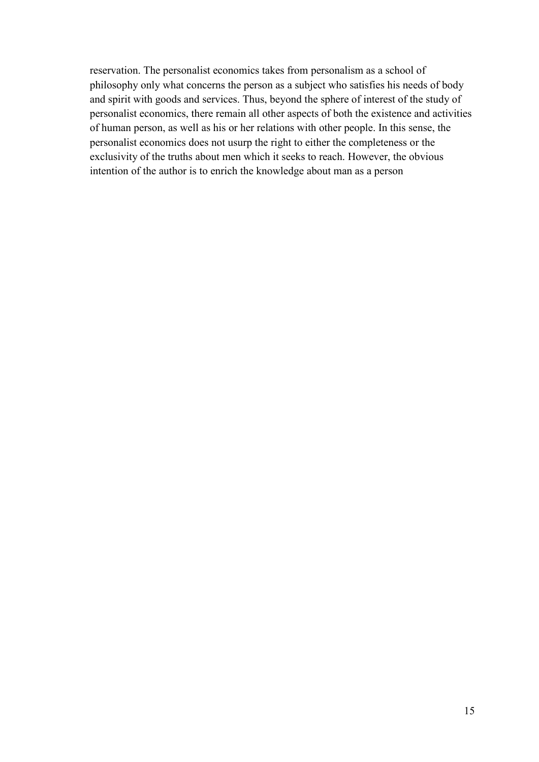reservation. The personalist economics takes from personalism as a school of philosophy only what concerns the person as a subject who satisfies his needs of body and spirit with goods and services. Thus, beyond the sphere of interest of the study of personalist economics, there remain all other aspects of both the existence and activities of human person, as well as his or her relations with other people. In this sense, the personalist economics does not usurp the right to either the completeness or the exclusivity of the truths about men which it seeks to reach. However, the obvious intention of the author is to enrich the knowledge about man as a person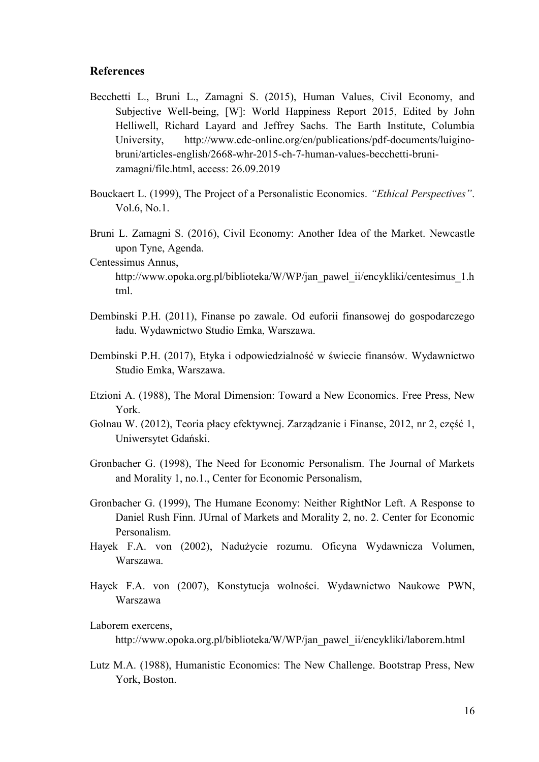#### **References**

- Becchetti L., Bruni L., Zamagni S. (2015), Human Values, Civil Economy, and Subjective Well-being, [W]: World Happiness Report 2015, Edited by John Helliwell, Richard Layard and Jeffrey Sachs. The Earth Institute, Columbia University, http://www.edc-online.org/en/publications/pdf-documents/luiginobruni/articles-english/2668-whr-2015-ch-7-human-values-becchetti-brunizamagni/file.html, access: 26.09.2019
- Bouckaert L. (1999), The Project of a Personalistic Economics. *"Ethical Perspectives"*. Vol.6, No.1.
- Bruni L. Zamagni S. (2016), Civil Economy: Another Idea of the Market. Newcastle upon Tyne, Agenda.

Centessimus Annus,

http://www.opoka.org.pl/biblioteka/W/WP/jan\_pawel\_ii/encykliki/centesimus\_1.h tml.

- Dembinski P.H. (2011), Finanse po zawale. Od euforii finansowej do gospodarczego ładu. Wydawnictwo Studio Emka, Warszawa.
- Dembinski P.H. (2017), Etyka i odpowiedzialność w świecie finansów. Wydawnictwo Studio Emka, Warszawa.
- Etzioni A. (1988), The Moral Dimension: Toward a New Economics. Free Press, New York.
- Golnau W. (2012), Teoria płacy efektywnej. Zarządzanie i Finanse, 2012, nr 2, część 1, Uniwersytet Gdański.
- Gronbacher G. (1998), The Need for Economic Personalism. The Journal of Markets and Morality 1, no.1., Center for Economic Personalism,
- Gronbacher G. (1999), The Humane Economy: Neither RightNor Left. A Response to Daniel Rush Finn. JUrnal of Markets and Morality 2, no. 2. Center for Economic Personalism.
- Hayek F.A. von (2002), Nadużycie rozumu. Oficyna Wydawnicza Volumen, Warszawa.
- Hayek F.A. von (2007), Konstytucja wolności. Wydawnictwo Naukowe PWN, Warszawa

Laborem exercens,

http://www.opoka.org.pl/biblioteka/W/WP/jan\_pawel\_ii/encykliki/laborem.html

Lutz M.A. (1988), Humanistic Economics: The New Challenge. Bootstrap Press, New York, Boston.